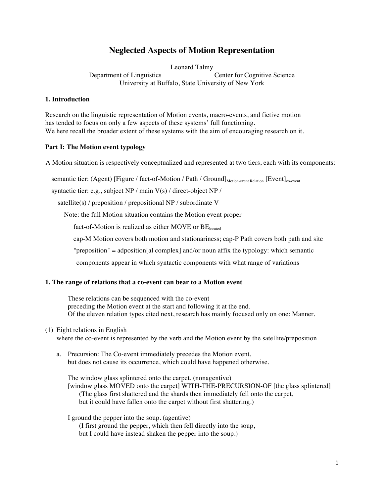# **Neglected Aspects of Motion Representation**

Leonard Talmy Department of Linguistics Center for Cognitive Science University at Buffalo, State University of New York

## **1. Introduction**

Research on the linguistic representation of Motion events, macro-events, and fictive motion has tended to focus on only a few aspects of these systems' full functioning. We here recall the broader extent of these systems with the aim of encouraging research on it.

## **Part I: The Motion event typology**

A Motion situation is respectively conceptualized and represented at two tiers, each with its components:

semantic tier: (Agent) [Figure / fact-of-Motion / Path / Ground]<sub>Motion-event Relation</sub> [Event]<sub>co-event</sub>

syntactic tier: e.g., subject NP / main V(s) / direct-object NP /

satellite(s) / preposition / prepositional NP / subordinate V

Note: the full Motion situation contains the Motion event proper

fact-of-Motion is realized as either MOVE or  $BE<sub>located</sub>$ 

cap-M Motion covers both motion and stationariness; cap-P Path covers both path and site

"preposition" = adposition[al complex] and/or noun affix the typology: which semantic

components appear in which syntactic components with what range of variations

#### **1. The range of relations that a co-event can bear to a Motion event**

These relations can be sequenced with the co-event preceding the Motion event at the start and following it at the end. Of the eleven relation types cited next, research has mainly focused only on one: Manner.

#### (1) Eight relations in English

where the co-event is represented by the verb and the Motion event by the satellite/preposition

a. Precursion: The Co-event immediately precedes the Motion event, but does not cause its occurrence, which could have happened otherwise.

The window glass splintered onto the carpet. (nonagentive) [window glass MOVED onto the carpet] WITH-THE-PRECURSION-OF [the glass splintered] (The glass first shattered and the shards then immediately fell onto the carpet, but it could have fallen onto the carpet without first shattering.)

I ground the pepper into the soup. (agentive) (I first ground the pepper, which then fell directly into the soup, but I could have instead shaken the pepper into the soup.)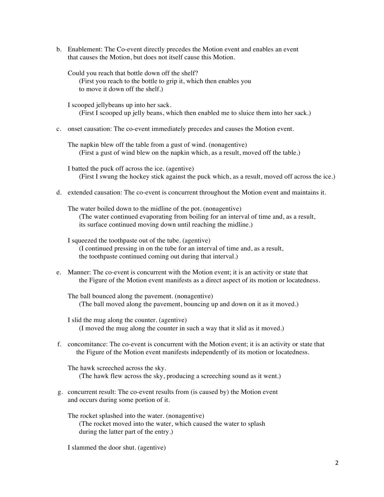b. Enablement: The Co-event directly precedes the Motion event and enables an event that causes the Motion, but does not itself cause this Motion.

Could you reach that bottle down off the shelf? (First you reach to the bottle to grip it, which then enables you to move it down off the shelf.)

I scooped jellybeans up into her sack. (First I scooped up jelly beans, which then enabled me to sluice them into her sack.)

- c. onset causation: The co-event immediately precedes and causes the Motion event.
	- The napkin blew off the table from a gust of wind. (nonagentive) (First a gust of wind blew on the napkin which, as a result, moved off the table.)

I batted the puck off across the ice. (agentive) (First I swung the hockey stick against the puck which, as a result, moved off across the ice.)

d. extended causation: The co-event is concurrent throughout the Motion event and maintains it.

The water boiled down to the midline of the pot. (nonagentive) (The water continued evaporating from boiling for an interval of time and, as a result, its surface continued moving down until reaching the midline.)

I squeezed the toothpaste out of the tube. (agentive) (I continued pressing in on the tube for an interval of time and, as a result, the toothpaste continued coming out during that interval.)

e. Manner: The co-event is concurrent with the Motion event; it is an activity or state that the Figure of the Motion event manifests as a direct aspect of its motion or locatedness.

The ball bounced along the pavement. (nonagentive) (The ball moved along the pavement, bouncing up and down on it as it moved.)

I slid the mug along the counter. (agentive) (I moved the mug along the counter in such a way that it slid as it moved.)

f. concomitance: The co-event is concurrent with the Motion event; it is an activity or state that the Figure of the Motion event manifests independently of its motion or locatedness.

The hawk screeched across the sky. (The hawk flew across the sky, producing a screeching sound as it went.)

g. concurrent result: The co-event results from (is caused by) the Motion event and occurs during some portion of it.

The rocket splashed into the water. (nonagentive) (The rocket moved into the water, which caused the water to splash during the latter part of the entry.)

I slammed the door shut. (agentive)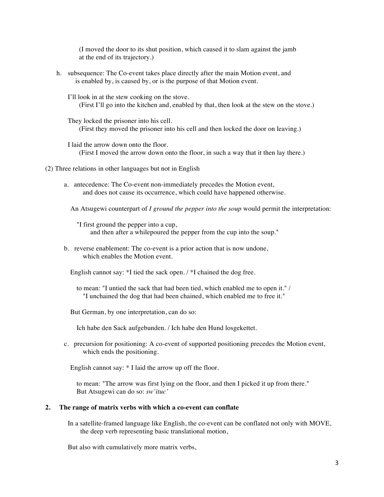(I moved the door to its shut position, which caused it to slam against the jamb at the end of its trajectory.)

- h. subsequence: The Co-event takes place directly after the main Motion event, and is enabled by, is caused by, or is the purpose of that Motion event.
	- I'll look in at the stew cooking on the stove. (First I'll go into the kitchen and, enabled by that, then look at the stew on the stove.)
	- They locked the prisoner into his cell. (First they moved the prisoner into his cell and then locked the door on leaving.)
	- I laid the arrow down onto the floor. (First I moved the arrow down onto the floor, in such a way that it then lay there.)
- (2) Three relations in other languages but not in English
	- a. antecedence: The Co-event non-immediately precedes the Motion event, and does not cause its occurrence, which could have happened otherwise.

An Atsugewi counterpart of *I ground the pepper into the soup* would permit the interpretation:

- "I first ground the pepper into a cup, and then after a whilepoured the pepper from the cup into the soup."
- b. reverse enablement: The co-event is a prior action that is now undone, which enables the Motion event.
	- English cannot say: \*I tied the sack open. / \*I chained the dog free.
		- to mean: "I untied the sack that had been tied, which enabled me to open it." / "I unchained the dog that had been chained, which enabled me to free it."
	- But German, by one interpretation, can do so:

Ich habe den Sack aufgebunden. / Ich habe den Hund losgekettet.

c. precursion for positioning: A co-event of supported positioning precedes the Motion event, which ends the positioning.

English cannot say: \* I laid the arrow up off the floor.

to mean: "The arrow was first lying on the floor, and then I picked it up from there." But Atsugewi can do so: *sw'ituc'*

#### **2. The range of matrix verbs with which a co-event can conflate**

In a satellite-framed language like English, the co-event can be conflated not only with MOVE, the deep verb representing basic translational motion,

But also with cumulatively more matrix verbs,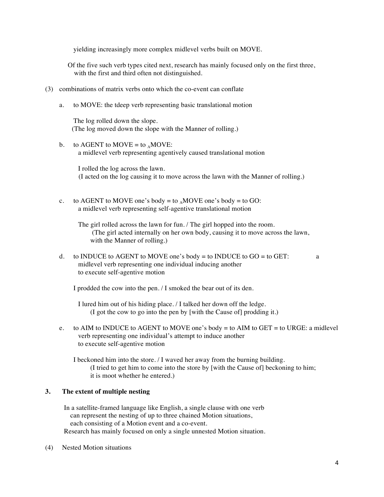yielding increasingly more complex midlevel verbs built on MOVE.

- Of the five such verb types cited next, research has mainly focused only on the first three, with the first and third often not distinguished.
- (3) combinations of matrix verbs onto which the co-event can conflate
	- a. to MOVE: the tdeep verb representing basic translational motion

The log rolled down the slope. (The log moved down the slope with the Manner of rolling.)

b. to AGENT to MOVE = to  $_A$ MOVE: a midlevel verb representing agentively caused translational motion

I rolled the log across the lawn. (I acted on the log causing it to move across the lawn with the Manner of rolling.)

c. to AGENT to MOVE one's body = to  $_A$ MOVE one's body = to GO: a midlevel verb representing self-agentive translational motion

The girl rolled across the lawn for fun. / The girl hopped into the room. (The girl acted internally on her own body, causing it to move across the lawn, with the Manner of rolling.)

d. to INDUCE to AGENT to MOVE one's body = to INDUCE to  $GO =$  to GET: a midlevel verb representing one individual inducing another to execute self-agentive motion

I prodded the cow into the pen. / I smoked the bear out of its den.

I lured him out of his hiding place. / I talked her down off the ledge. (I got the cow to go into the pen by [with the Cause of] prodding it.)

e. to AIM to INDUCE to AGENT to MOVE one's body = to AIM to GET = to URGE: a midlevel verb representing one individual's attempt to induce another to execute self-agentive motion

I beckoned him into the store. / I waved her away from the burning building. (I tried to get him to come into the store by [with the Cause of] beckoning to him; it is moot whether he entered.)

## **3. The extent of multiple nesting**

In a satellite-framed language like English, a single clause with one verb can represent the nesting of up to three chained Motion situations, each consisting of a Motion event and a co-event. Research has mainly focused on only a single unnested Motion situation.

(4) Nested Motion situations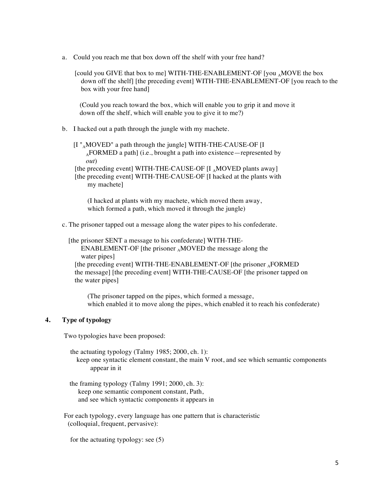a. Could you reach me that box down off the shelf with your free hand?

[could you GIVE that box to me] WITH-THE-ENABLEMENT-OF [you <sub>a</sub>MOVE the box down off the shelf] [the preceding event] WITH-THE-ENABLEMENT-OF [you reach to the box with your free hand]

(Could you reach toward the box, which will enable you to grip it and move it down off the shelf, which will enable you to give it to me?)

- b. I hacked out a path through the jungle with my machete.
	- $[I^{\prime\prime}{}_{A}MOVED^{\prime\prime}$  a path through the jungle] WITH-THE-CAUSE-OF  $[I]$  $_{A}$ FORMED a path] (i.e., brought a path into existence—represented by *out*)

[the preceding event] WITH-THE-CAUSE-OF [I <sub>A</sub>MOVED plants away] [the preceding event] WITH-THE-CAUSE-OF [I hacked at the plants with my machete]

(I hacked at plants with my machete, which moved them away, which formed a path, which moved it through the jungle)

c. The prisoner tapped out a message along the water pipes to his confederate.

[the prisoner SENT a message to his confederate] WITH-THE-ENABLEMENT-OF [the prisoner  $_A$ MOVED the message along the water pipes]

[the preceding event] WITH-THE-ENABLEMENT-OF [the prisoner  $_{\alpha}$ FORMED the message] [the preceding event] WITH-THE-CAUSE-OF [the prisoner tapped on the water pipes]

(The prisoner tapped on the pipes, which formed a message, which enabled it to move along the pipes, which enabled it to reach his confederate)

# **4. Type of typology**

Two typologies have been proposed:

- the actuating typology (Talmy 1985; 2000, ch. 1): keep one syntactic element constant, the main V root, and see which semantic components appear in it
- the framing typology (Talmy 1991; 2000, ch. 3): keep one semantic component constant, Path, and see which syntactic components it appears in

For each typology, every language has one pattern that is characteristic (colloquial, frequent, pervasive):

for the actuating typology: see (5)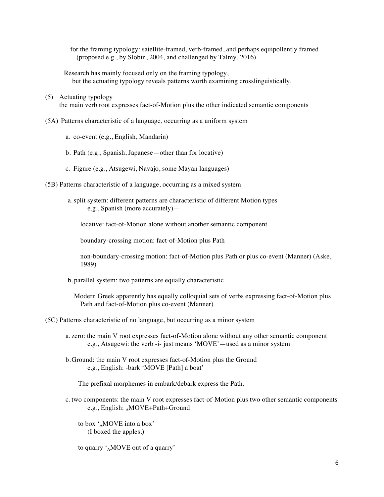for the framing typology: satellite-framed, verb-framed, and perhaps equipollently framed (proposed e.g., by Slobin, 2004, and challenged by Talmy, 2016)

Research has mainly focused only on the framing typology, but the actuating typology reveals patterns worth examining crosslinguistically.

- (5) Actuating typology the main verb root expresses fact-of-Motion plus the other indicated semantic components
- (5A) Patterns characteristic of a language, occurring as a uniform system
	- a. co-event (e.g., English, Mandarin)
	- b. Path (e.g., Spanish, Japanese—other than for locative)
	- c. Figure (e.g., Atsugewi, Navajo, some Mayan languages)
- (5B) Patterns characteristic of a language, occurring as a mixed system
	- a.split system: different patterns are characteristic of different Motion types e.g., Spanish (more accurately)—

locative: fact-of-Motion alone without another semantic component

boundary-crossing motion: fact-of-Motion plus Path

non-boundary-crossing motion: fact-of-Motion plus Path or plus co-event (Manner) (Aske, 1989)

b. parallel system: two patterns are equally characteristic

Modern Greek apparently has equally colloquial sets of verbs expressing fact-of-Motion plus Path and fact-of-Motion plus co-event (Manner)

(5C) Patterns characteristic of no language, but occurring as a minor system

- a. zero: the main V root expresses fact-of-Motion alone without any other semantic component e.g., Atsugewi: the verb -i- just means 'MOVE'—used as a minor system
- b.Ground: the main V root expresses fact-of-Motion plus the Ground e.g., English: -bark 'MOVE [Path] a boat'

The prefixal morphemes in embark/debark express the Path.

c. two components: the main V root expresses fact-of-Motion plus two other semantic components e.g., English: AMOVE+Path+Ground

to box 'AMOVE into a box' (I boxed the apples.)

to quarry  $^{\prime}$ <sub>A</sub>MOVE out of a quarry'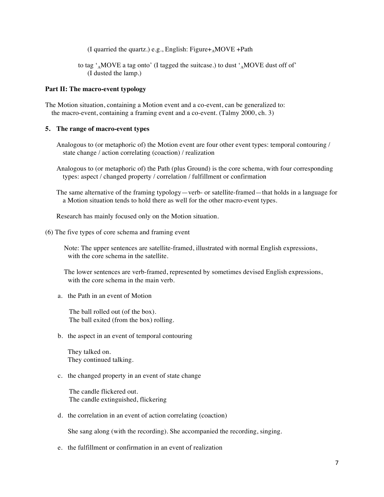(I quarried the quartz.) e.g., English: Figure $+_{A}$ MOVE +Path

to tag  $\cdot_A$ MOVE a tag onto' (I tagged the suitcase.) to dust  $\cdot_A$ MOVE dust off of (I dusted the lamp.)

#### **Part II: The macro-event typology**

The Motion situation, containing a Motion event and a co-event, can be generalized to: the macro-event, containing a framing event and a co-event. (Talmy 2000, ch. 3)

#### **5. The range of macro-event types**

- Analogous to (or metaphoric of) the Motion event are four other event types: temporal contouring / state change / action correlating (coaction) / realization
- Analogous to (or metaphoric of) the Path (plus Ground) is the core schema, with four corresponding types: aspect / changed property / correlation / fulfillment or confirmation
- The same alternative of the framing typology—verb- or satellite-framed—that holds in a language for a Motion situation tends to hold there as well for the other macro-event types.

Research has mainly focused only on the Motion situation.

(6) The five types of core schema and framing event

Note: The upper sentences are satellite-framed, illustrated with normal English expressions, with the core schema in the satellite.

The lower sentences are verb-framed, represented by sometimes devised English expressions, with the core schema in the main verb.

a. the Path in an event of Motion

The ball rolled out (of the box). The ball exited (from the box) rolling.

b. the aspect in an event of temporal contouring

They talked on. They continued talking.

## c. the changed property in an event of state change

The candle flickered out. The candle extinguished, flickering

d. the correlation in an event of action correlating (coaction)

She sang along (with the recording). She accompanied the recording, singing.

e. the fulfillment or confirmation in an event of realization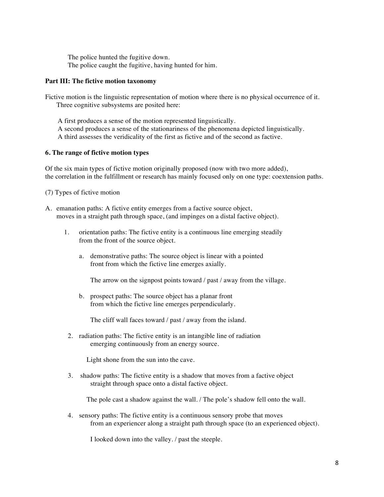The police hunted the fugitive down. The police caught the fugitive, having hunted for him.

## **Part III: The fictive motion taxonomy**

Fictive motion is the linguistic representation of motion where there is no physical occurrence of it. Three cognitive subsystems are posited here:

A first produces a sense of the motion represented linguistically. A second produces a sense of the stationariness of the phenomena depicted linguistically. A third assesses the veridicality of the first as fictive and of the second as factive.

#### **6. The range of fictive motion types**

Of the six main types of fictive motion originally proposed (now with two more added), the correlation in the fulfillment or research has mainly focused only on one type: coextension paths.

(7) Types of fictive motion

- A. emanation paths: A fictive entity emerges from a factive source object, moves in a straight path through space, (and impinges on a distal factive object).
	- 1. orientation paths: The fictive entity is a continuous line emerging steadily from the front of the source object.
		- a. demonstrative paths: The source object is linear with a pointed front from which the fictive line emerges axially.

The arrow on the signpost points toward / past / away from the village.

b. prospect paths: The source object has a planar front from which the fictive line emerges perpendicularly.

The cliff wall faces toward / past / away from the island.

2. radiation paths: The fictive entity is an intangible line of radiation emerging continuously from an energy source.

Light shone from the sun into the cave.

3. shadow paths: The fictive entity is a shadow that moves from a factive object straight through space onto a distal factive object.

The pole cast a shadow against the wall. / The pole's shadow fell onto the wall.

4. sensory paths: The fictive entity is a continuous sensory probe that moves from an experiencer along a straight path through space (to an experienced object).

I looked down into the valley. / past the steeple.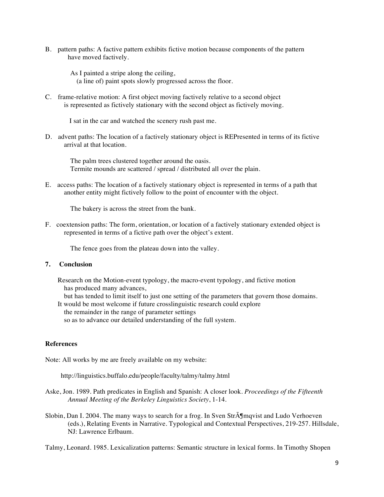B. pattern paths: A factive pattern exhibits fictive motion because components of the pattern have moved factively.

As I painted a stripe along the ceiling, (a line of) paint spots slowly progressed across the floor.

C. frame-relative motion: A first object moving factively relative to a second object is represented as fictively stationary with the second object as fictively moving.

I sat in the car and watched the scenery rush past me.

D. advent paths: The location of a factively stationary object is REPresented in terms of its fictive arrival at that location.

The palm trees clustered together around the oasis. Termite mounds are scattered / spread / distributed all over the plain.

E. access paths: The location of a factively stationary object is represented in terms of a path that another entity might fictively follow to the point of encounter with the object.

The bakery is across the street from the bank.

F. coextension paths: The form, orientation, or location of a factively stationary extended object is represented in terms of a fictive path over the object's extent.

The fence goes from the plateau down into the valley.

# **7. Conclusion**

- Research on the Motion-event typology, the macro-event typology, and fictive motion has produced many advances,
	- but has tended to limit itself to just one setting of the parameters that govern those domains.
- It would be most welcome if future crosslinguistic research could explore the remainder in the range of parameter settings so as to advance our detailed understanding of the full system.

# **References**

Note: All works by me are freely available on my website:

http://linguistics.buffalo.edu/people/faculty/talmy/talmy.html

- Aske, Jon. 1989. Path predicates in English and Spanish: A closer look. *Proceedings of the Fifteenth Annual Meeting of the Berkeley Linguistics Society*, 1-14.
- Slobin, Dan I. 2004. The many ways to search for a frog. In Sven Str $\tilde{\text{A}}$  Imquist and Ludo Verhoeven (eds.), Relating Events in Narrative. Typological and Contextual Perspectives, 219-257. Hillsdale, NJ: Lawrence Erlbaum.

Talmy, Leonard. 1985. Lexicalization patterns: Semantic structure in lexical forms. In Timothy Shopen